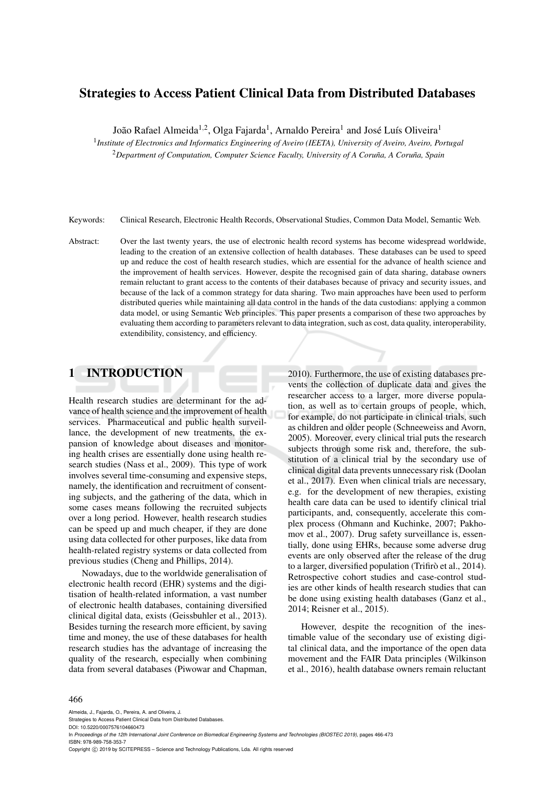## Strategies to Access Patient Clinical Data from Distributed Databases

João Rafael Almeida<sup>1,2</sup>, Olga Fajarda<sup>1</sup>, Arnaldo Pereira<sup>1</sup> and José Luís Oliveira<sup>1</sup>

1 *Institute of Electronics and Informatics Engineering of Aveiro (IEETA), University of Aveiro, Aveiro, Portugal*

<sup>2</sup>Department of Computation, Computer Science Faculty, University of A Coruña, A Coruña, Spain

Keywords: Clinical Research, Electronic Health Records, Observational Studies, Common Data Model, Semantic Web.

Abstract: Over the last twenty years, the use of electronic health record systems has become widespread worldwide, leading to the creation of an extensive collection of health databases. These databases can be used to speed up and reduce the cost of health research studies, which are essential for the advance of health science and the improvement of health services. However, despite the recognised gain of data sharing, database owners remain reluctant to grant access to the contents of their databases because of privacy and security issues, and because of the lack of a common strategy for data sharing. Two main approaches have been used to perform distributed queries while maintaining all data control in the hands of the data custodians: applying a common data model, or using Semantic Web principles. This paper presents a comparison of these two approaches by evaluating them according to parameters relevant to data integration, such as cost, data quality, interoperability, extendibility, consistency, and efficiency.

# 1 INTRODUCTION

Health research studies are determinant for the advance of health science and the improvement of health services. Pharmaceutical and public health surveillance, the development of new treatments, the expansion of knowledge about diseases and monitoring health crises are essentially done using health research studies (Nass et al., 2009). This type of work involves several time-consuming and expensive steps, namely, the identification and recruitment of consenting subjects, and the gathering of the data, which in some cases means following the recruited subjects over a long period. However, health research studies can be speed up and much cheaper, if they are done using data collected for other purposes, like data from health-related registry systems or data collected from previous studies (Cheng and Phillips, 2014).

Nowadays, due to the worldwide generalisation of electronic health record (EHR) systems and the digitisation of health-related information, a vast number of electronic health databases, containing diversified clinical digital data, exists (Geissbuhler et al., 2013). Besides turning the research more efficient, by saving time and money, the use of these databases for health research studies has the advantage of increasing the quality of the research, especially when combining data from several databases (Piwowar and Chapman,

2010). Furthermore, the use of existing databases prevents the collection of duplicate data and gives the researcher access to a larger, more diverse population, as well as to certain groups of people, which, for example, do not participate in clinical trials, such as children and older people (Schneeweiss and Avorn, 2005). Moreover, every clinical trial puts the research subjects through some risk and, therefore, the substitution of a clinical trial by the secondary use of clinical digital data prevents unnecessary risk (Doolan et al., 2017). Even when clinical trials are necessary, e.g. for the development of new therapies, existing health care data can be used to identify clinical trial participants, and, consequently, accelerate this complex process (Ohmann and Kuchinke, 2007; Pakhomov et al., 2007). Drug safety surveillance is, essentially, done using EHRs, because some adverse drug events are only observed after the release of the drug to a larger, diversified population (Trifiro et al., 2014). Retrospective cohort studies and case-control studies are other kinds of health research studies that can be done using existing health databases (Ganz et al., 2014; Reisner et al., 2015).

However, despite the recognition of the inestimable value of the secondary use of existing digital clinical data, and the importance of the open data movement and the FAIR Data principles (Wilkinson et al., 2016), health database owners remain reluctant

#### 466

Almeida, J., Fajarda, O., Pereira, A. and Oliveira, J.

Strategies to Access Patient Clinical Data from Distributed Databases. DOI: 10.5220/0007576104660473

In *Proceedings of the 12th International Joint Conference on Biomedical Engineering Systems and Technologies (BIOSTEC 2019)*, pages 466-473 ISBN: 978-989-758-353-7

Copyright (C) 2019 by SCITEPRESS - Science and Technology Publications, Lda. All rights reserved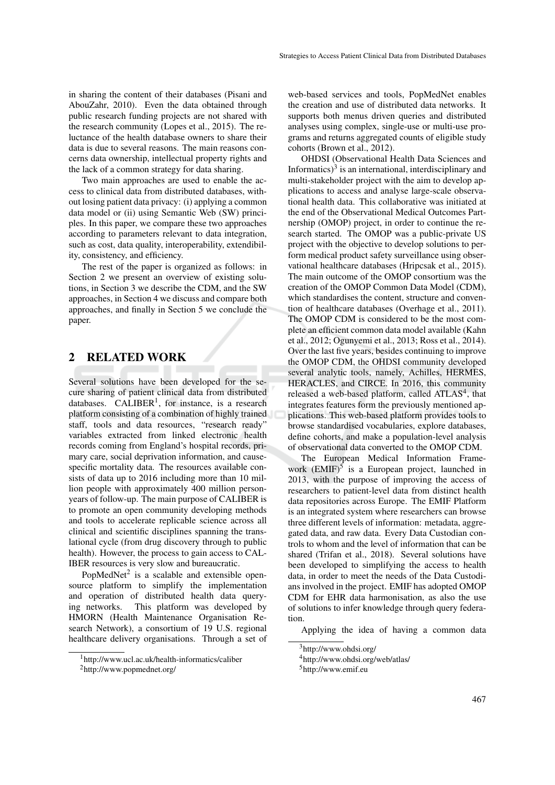in sharing the content of their databases (Pisani and AbouZahr, 2010). Even the data obtained through public research funding projects are not shared with the research community (Lopes et al., 2015). The reluctance of the health database owners to share their data is due to several reasons. The main reasons concerns data ownership, intellectual property rights and the lack of a common strategy for data sharing.

Two main approaches are used to enable the access to clinical data from distributed databases, without losing patient data privacy: (i) applying a common data model or (ii) using Semantic Web (SW) principles. In this paper, we compare these two approaches according to parameters relevant to data integration, such as cost, data quality, interoperability, extendibility, consistency, and efficiency.

The rest of the paper is organized as follows: in Section 2 we present an overview of existing solutions, in Section 3 we describe the CDM, and the SW approaches, in Section 4 we discuss and compare both approaches, and finally in Section 5 we conclude the paper.

### 2 RELATED WORK

Several solutions have been developed for the secure sharing of patient clinical data from distributed databases.  $CALIBER<sup>1</sup>$ , for instance, is a research platform consisting of a combination of highly trained staff, tools and data resources, "research ready" variables extracted from linked electronic health records coming from England's hospital records, primary care, social deprivation information, and causespecific mortality data. The resources available consists of data up to 2016 including more than 10 million people with approximately 400 million personyears of follow-up. The main purpose of CALIBER is to promote an open community developing methods and tools to accelerate replicable science across all clinical and scientific disciplines spanning the translational cycle (from drug discovery through to public health). However, the process to gain access to CAL-IBER resources is very slow and bureaucratic.

PopMedNet $2$  is a scalable and extensible opensource platform to simplify the implementation and operation of distributed health data querying networks. This platform was developed by HMORN (Health Maintenance Organisation Research Network), a consortium of 19 U.S. regional healthcare delivery organisations. Through a set of

web-based services and tools, PopMedNet enables the creation and use of distributed data networks. It supports both menus driven queries and distributed analyses using complex, single-use or multi-use programs and returns aggregated counts of eligible study cohorts (Brown et al., 2012).

OHDSI (Observational Health Data Sciences and Informatics) $3$  is an international, interdisciplinary and multi-stakeholder project with the aim to develop applications to access and analyse large-scale observational health data. This collaborative was initiated at the end of the Observational Medical Outcomes Partnership (OMOP) project, in order to continue the research started. The OMOP was a public-private US project with the objective to develop solutions to perform medical product safety surveillance using observational healthcare databases (Hripcsak et al., 2015). The main outcome of the OMOP consortium was the creation of the OMOP Common Data Model (CDM), which standardises the content, structure and convention of healthcare databases (Overhage et al., 2011). The OMOP CDM is considered to be the most complete an efficient common data model available (Kahn et al., 2012; Ogunyemi et al., 2013; Ross et al., 2014). Over the last five years, besides continuing to improve the OMOP CDM, the OHDSI community developed several analytic tools, namely, Achilles, HERMES, HERACLES, and CIRCE. In 2016, this community released a web-based platform, called ATLAS<sup>4</sup>, that integrates features form the previously mentioned applications. This web-based platform provides tools to browse standardised vocabularies, explore databases, define cohorts, and make a population-level analysis of observational data converted to the OMOP CDM.

The European Medical Information Framework (EMIF)<sup>5</sup> is a European project, launched in 2013, with the purpose of improving the access of researchers to patient-level data from distinct health data repositories across Europe. The EMIF Platform is an integrated system where researchers can browse three different levels of information: metadata, aggregated data, and raw data. Every Data Custodian controls to whom and the level of information that can be shared (Trifan et al., 2018). Several solutions have been developed to simplifying the access to health data, in order to meet the needs of the Data Custodians involved in the project. EMIF has adopted OMOP CDM for EHR data harmonisation, as also the use of solutions to infer knowledge through query federation.

Applying the idea of having a common data

<sup>1</sup>http://www.ucl.ac.uk/health-informatics/caliber

<sup>2</sup>http://www.popmednet.org/

<sup>3</sup>http://www.ohdsi.org/

<sup>4</sup>http://www.ohdsi.org/web/atlas/

<sup>&</sup>lt;sup>5</sup>http://www.emif.eu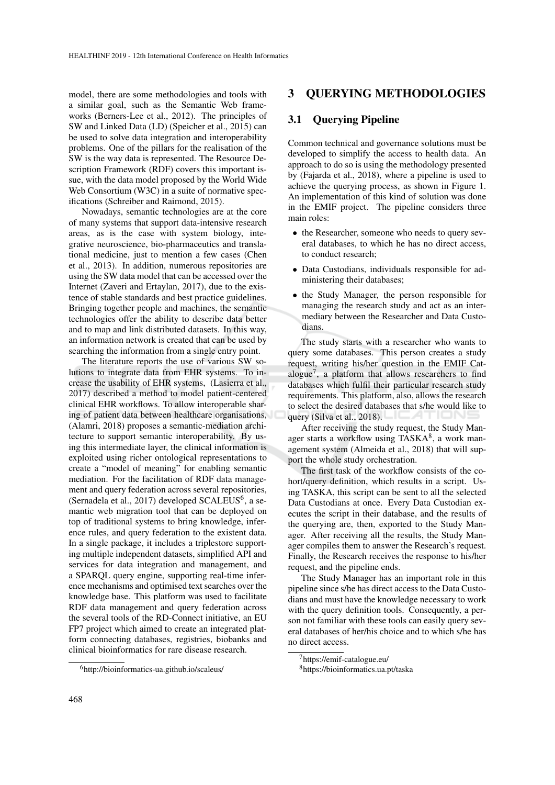model, there are some methodologies and tools with a similar goal, such as the Semantic Web frameworks (Berners-Lee et al., 2012). The principles of SW and Linked Data (LD) (Speicher et al., 2015) can be used to solve data integration and interoperability problems. One of the pillars for the realisation of the SW is the way data is represented. The Resource Description Framework (RDF) covers this important issue, with the data model proposed by the World Wide Web Consortium (W3C) in a suite of normative specifications (Schreiber and Raimond, 2015).

Nowadays, semantic technologies are at the core of many systems that support data-intensive research areas, as is the case with system biology, integrative neuroscience, bio-pharmaceutics and translational medicine, just to mention a few cases (Chen et al., 2013). In addition, numerous repositories are using the SW data model that can be accessed over the Internet (Zaveri and Ertaylan, 2017), due to the existence of stable standards and best practice guidelines. Bringing together people and machines, the semantic technologies offer the ability to describe data better and to map and link distributed datasets. In this way, an information network is created that can be used by searching the information from a single entry point.

The literature reports the use of various SW solutions to integrate data from EHR systems. To increase the usability of EHR systems, (Lasierra et al., 2017) described a method to model patient-centered clinical EHR workflows. To allow interoperable sharing of patient data between healthcare organisations, (Alamri, 2018) proposes a semantic-mediation architecture to support semantic interoperability. By using this intermediate layer, the clinical information is exploited using richer ontological representations to create a "model of meaning" for enabling semantic mediation. For the facilitation of RDF data management and query federation across several repositories, (Sernadela et al., 2017) developed  $SCALEUS^6$ , a semantic web migration tool that can be deployed on top of traditional systems to bring knowledge, inference rules, and query federation to the existent data. In a single package, it includes a triplestore supporting multiple independent datasets, simplified API and services for data integration and management, and a SPARQL query engine, supporting real-time inference mechanisms and optimised text searches over the knowledge base. This platform was used to facilitate RDF data management and query federation across the several tools of the RD-Connect initiative, an EU FP7 project which aimed to create an integrated platform connecting databases, registries, biobanks and clinical bioinformatics for rare disease research.

### 3 QUERYING METHODOLOGIES

#### 3.1 Querying Pipeline

Common technical and governance solutions must be developed to simplify the access to health data. An approach to do so is using the methodology presented by (Fajarda et al., 2018), where a pipeline is used to achieve the querying process, as shown in Figure 1. An implementation of this kind of solution was done in the EMIF project. The pipeline considers three main roles:

- the Researcher, someone who needs to query several databases, to which he has no direct access, to conduct research;
- Data Custodians, individuals responsible for administering their databases;
- the Study Manager, the person responsible for managing the research study and act as an intermediary between the Researcher and Data Custodians.

The study starts with a researcher who wants to query some databases. This person creates a study request, writing his/her question in the EMIF Catalogue<sup>7</sup>, a platform that allows researchers to find databases which fulfil their particular research study requirements. This platform, also, allows the research to select the desired databases that s/he would like to query (Silva et al., 2018).

After receiving the study request, the Study Manager starts a workflow using TASKA<sup>8</sup>, a work management system (Almeida et al., 2018) that will support the whole study orchestration.

The first task of the workflow consists of the cohort/query definition, which results in a script. Using TASKA, this script can be sent to all the selected Data Custodians at once. Every Data Custodian executes the script in their database, and the results of the querying are, then, exported to the Study Manager. After receiving all the results, the Study Manager compiles them to answer the Research's request. Finally, the Research receives the response to his/her request, and the pipeline ends.

The Study Manager has an important role in this pipeline since s/he has direct access to the Data Custodians and must have the knowledge necessary to work with the query definition tools. Consequently, a person not familiar with these tools can easily query several databases of her/his choice and to which s/he has no direct access.

<sup>6</sup>http://bioinformatics-ua.github.io/scaleus/

<sup>7</sup>https://emif-catalogue.eu/

<sup>8</sup>https://bioinformatics.ua.pt/taska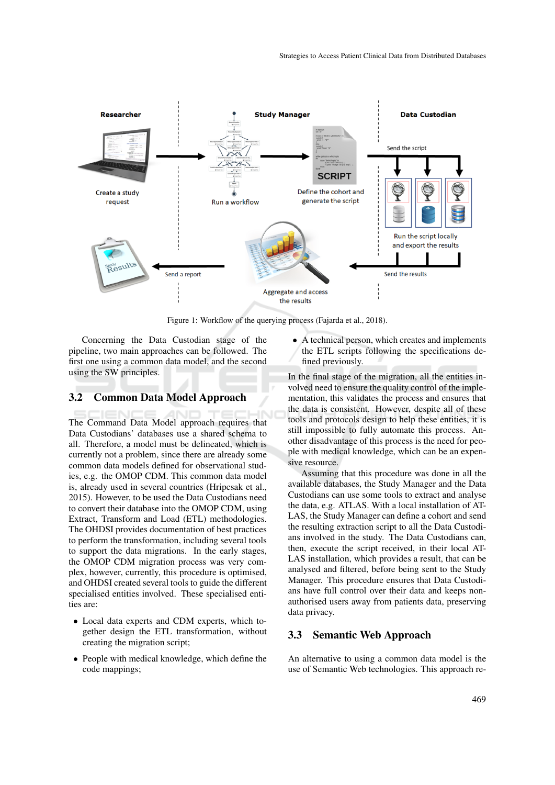

Figure 1: Workflow of the querying process (Fajarda et al., 2018).

Concerning the Data Custodian stage of the pipeline, two main approaches can be followed. The first one using a common data model, and the second using the SW principles.

#### 3.2 Common Data Model Approach

The Command Data Model approach requires that Data Custodians' databases use a shared schema to all. Therefore, a model must be delineated, which is currently not a problem, since there are already some common data models defined for observational studies, e.g. the OMOP CDM. This common data model is, already used in several countries (Hripcsak et al., 2015). However, to be used the Data Custodians need to convert their database into the OMOP CDM, using Extract, Transform and Load (ETL) methodologies. The OHDSI provides documentation of best practices to perform the transformation, including several tools to support the data migrations. In the early stages, the OMOP CDM migration process was very complex, however, currently, this procedure is optimised, and OHDSI created several tools to guide the different specialised entities involved. These specialised entities are:

- Local data experts and CDM experts, which together design the ETL transformation, without creating the migration script;
- People with medical knowledge, which define the code mappings;

• A technical person, which creates and implements the ETL scripts following the specifications defined previously.

In the final stage of the migration, all the entities involved need to ensure the quality control of the implementation, this validates the process and ensures that the data is consistent. However, despite all of these tools and protocols design to help these entities, it is still impossible to fully automate this process. Another disadvantage of this process is the need for people with medical knowledge, which can be an expensive resource.

Assuming that this procedure was done in all the available databases, the Study Manager and the Data Custodians can use some tools to extract and analyse the data, e.g. ATLAS. With a local installation of AT-LAS, the Study Manager can define a cohort and send the resulting extraction script to all the Data Custodians involved in the study. The Data Custodians can, then, execute the script received, in their local AT-LAS installation, which provides a result, that can be analysed and filtered, before being sent to the Study Manager. This procedure ensures that Data Custodians have full control over their data and keeps nonauthorised users away from patients data, preserving data privacy.

#### 3.3 Semantic Web Approach

An alternative to using a common data model is the use of Semantic Web technologies. This approach re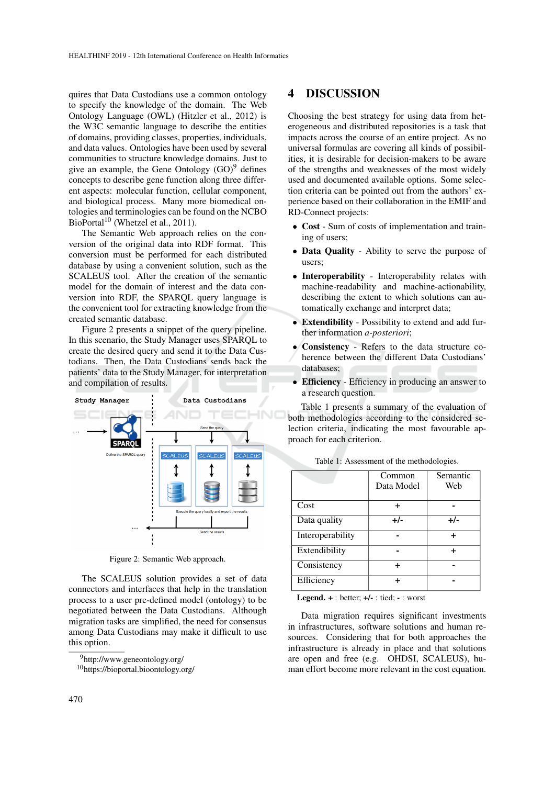quires that Data Custodians use a common ontology to specify the knowledge of the domain. The Web Ontology Language (OWL) (Hitzler et al., 2012) is the W3C semantic language to describe the entities of domains, providing classes, properties, individuals, and data values. Ontologies have been used by several communities to structure knowledge domains. Just to give an example, the Gene Ontology  $(GO)^9$  defines concepts to describe gene function along three different aspects: molecular function, cellular component, and biological process. Many more biomedical ontologies and terminologies can be found on the NCBO BioPortal<sup>10</sup> (Whetzel et al., 2011).

The Semantic Web approach relies on the conversion of the original data into RDF format. This conversion must be performed for each distributed database by using a convenient solution, such as the SCALEUS tool. After the creation of the semantic model for the domain of interest and the data conversion into RDF, the SPARQL query language is the convenient tool for extracting knowledge from the created semantic database.

Figure 2 presents a snippet of the query pipeline. In this scenario, the Study Manager uses SPARQL to create the desired query and send it to the Data Custodians. Then, the Data Custodians sends back the patients' data to the Study Manager, for interpretation and compilation of results.



Figure 2: Semantic Web approach.

The SCALEUS solution provides a set of data connectors and interfaces that help in the translation process to a user pre-defined model (ontology) to be negotiated between the Data Custodians. Although migration tasks are simplified, the need for consensus among Data Custodians may make it difficult to use this option.

### 4 DISCUSSION

Choosing the best strategy for using data from heterogeneous and distributed repositories is a task that impacts across the course of an entire project. As no universal formulas are covering all kinds of possibilities, it is desirable for decision-makers to be aware of the strengths and weaknesses of the most widely used and documented available options. Some selection criteria can be pointed out from the authors' experience based on their collaboration in the EMIF and RD-Connect projects:

- Cost Sum of costs of implementation and training of users;
- Data Quality Ability to serve the purpose of users;
- Interoperability Interoperability relates with machine-readability and machine-actionability, describing the extent to which solutions can automatically exchange and interpret data;
- Extendibility Possibility to extend and add further information *a-posteriori*;
- Consistency Refers to the data structure coherence between the different Data Custodians' databases;
- Efficiency Efficiency in producing an answer to a research question.

Table 1 presents a summary of the evaluation of both methodologies according to the considered selection criteria, indicating the most favourable approach for each criterion.

|                  | Common     | Semantic |
|------------------|------------|----------|
|                  | Data Model | Web      |
|                  |            |          |
| Cost             |            |          |
| Data quality     | +/-        | $+/-$    |
| Interoperability |            |          |
| Extendibility    |            |          |
| Consistency      |            |          |
| Efficiency       |            |          |

Table 1: Assessment of the methodologies.

Legend.  $+$ : better;  $+/-$ : tied;  $-$ : worst

Data migration requires significant investments in infrastructures, software solutions and human resources. Considering that for both approaches the infrastructure is already in place and that solutions are open and free (e.g. OHDSI, SCALEUS), human effort become more relevant in the cost equation.

<sup>9</sup>http://www.geneontology.org/

<sup>10</sup>https://bioportal.bioontology.org/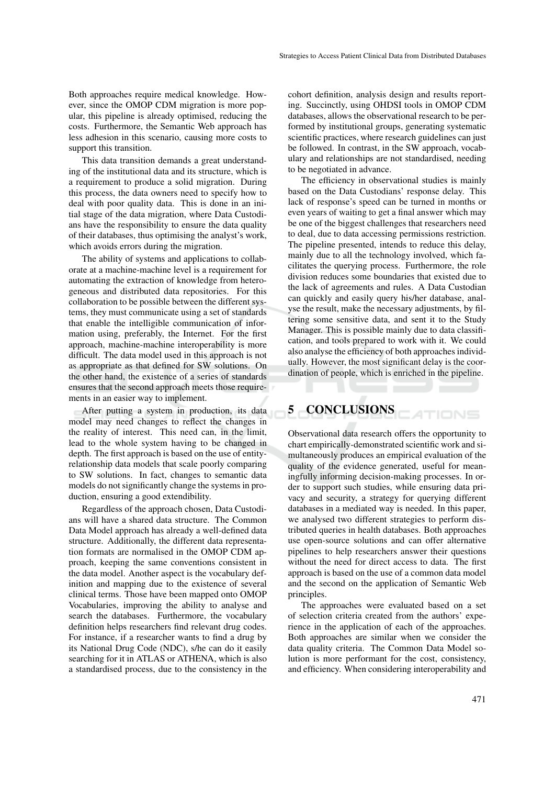Both approaches require medical knowledge. However, since the OMOP CDM migration is more popular, this pipeline is already optimised, reducing the costs. Furthermore, the Semantic Web approach has less adhesion in this scenario, causing more costs to support this transition.

This data transition demands a great understanding of the institutional data and its structure, which is a requirement to produce a solid migration. During this process, the data owners need to specify how to deal with poor quality data. This is done in an initial stage of the data migration, where Data Custodians have the responsibility to ensure the data quality of their databases, thus optimising the analyst's work, which avoids errors during the migration.

The ability of systems and applications to collaborate at a machine-machine level is a requirement for automating the extraction of knowledge from heterogeneous and distributed data repositories. For this collaboration to be possible between the different systems, they must communicate using a set of standards that enable the intelligible communication of information using, preferably, the Internet. For the first approach, machine-machine interoperability is more difficult. The data model used in this approach is not as appropriate as that defined for SW solutions. On the other hand, the existence of a series of standards ensures that the second approach meets those requirements in an easier way to implement.

After putting a system in production, its data model may need changes to reflect the changes in the reality of interest. This need can, in the limit, lead to the whole system having to be changed in depth. The first approach is based on the use of entityrelationship data models that scale poorly comparing to SW solutions. In fact, changes to semantic data models do not significantly change the systems in production, ensuring a good extendibility.

Regardless of the approach chosen, Data Custodians will have a shared data structure. The Common Data Model approach has already a well-defined data structure. Additionally, the different data representation formats are normalised in the OMOP CDM approach, keeping the same conventions consistent in the data model. Another aspect is the vocabulary definition and mapping due to the existence of several clinical terms. Those have been mapped onto OMOP Vocabularies, improving the ability to analyse and search the databases. Furthermore, the vocabulary definition helps researchers find relevant drug codes. For instance, if a researcher wants to find a drug by its National Drug Code (NDC), s/he can do it easily searching for it in ATLAS or ATHENA, which is also a standardised process, due to the consistency in the cohort definition, analysis design and results reporting. Succinctly, using OHDSI tools in OMOP CDM databases, allows the observational research to be performed by institutional groups, generating systematic scientific practices, where research guidelines can just be followed. In contrast, in the SW approach, vocabulary and relationships are not standardised, needing to be negotiated in advance.

The efficiency in observational studies is mainly based on the Data Custodians' response delay. This lack of response's speed can be turned in months or even years of waiting to get a final answer which may be one of the biggest challenges that researchers need to deal, due to data accessing permissions restriction. The pipeline presented, intends to reduce this delay, mainly due to all the technology involved, which facilitates the querying process. Furthermore, the role division reduces some boundaries that existed due to the lack of agreements and rules. A Data Custodian can quickly and easily query his/her database, analyse the result, make the necessary adjustments, by filtering some sensitive data, and sent it to the Study Manager. This is possible mainly due to data classification, and tools prepared to work with it. We could also analyse the efficiency of both approaches individually. However, the most significant delay is the coordination of people, which is enriched in the pipeline.

#### 5 CONCLUSIONS TIONS

Observational data research offers the opportunity to chart empirically-demonstrated scientific work and simultaneously produces an empirical evaluation of the quality of the evidence generated, useful for meaningfully informing decision-making processes. In order to support such studies, while ensuring data privacy and security, a strategy for querying different databases in a mediated way is needed. In this paper, we analysed two different strategies to perform distributed queries in health databases. Both approaches use open-source solutions and can offer alternative pipelines to help researchers answer their questions without the need for direct access to data. The first approach is based on the use of a common data model and the second on the application of Semantic Web principles.

The approaches were evaluated based on a set of selection criteria created from the authors' experience in the application of each of the approaches. Both approaches are similar when we consider the data quality criteria. The Common Data Model solution is more performant for the cost, consistency, and efficiency. When considering interoperability and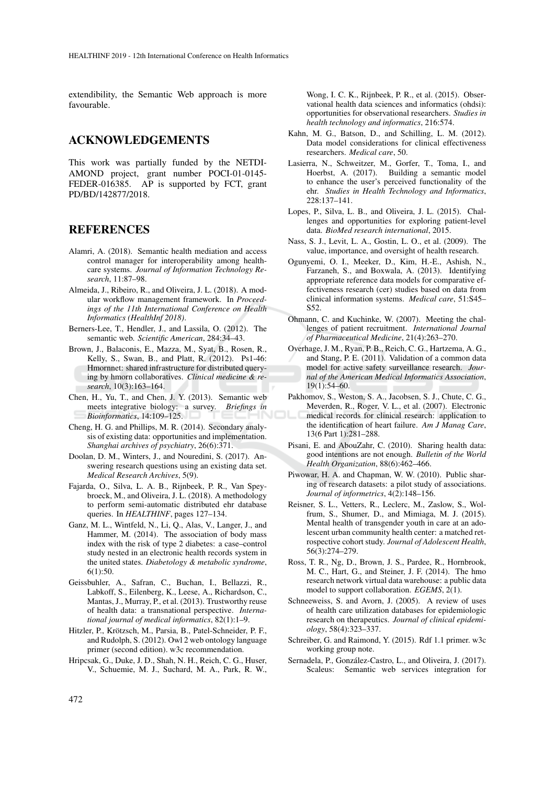extendibility, the Semantic Web approach is more favourable.

### ACKNOWLEDGEMENTS

This work was partially funded by the NETDI-AMOND project, grant number POCI-01-0145- FEDER-016385. AP is supported by FCT, grant PD/BD/142877/2018.

### **REFERENCES**

- Alamri, A. (2018). Semantic health mediation and access control manager for interoperability among healthcare systems. *Journal of Information Technology Research*, 11:87–98.
- Almeida, J., Ribeiro, R., and Oliveira, J. L. (2018). A modular workflow management framework. In *Proceedings of the 11th International Conference on Health Informatics (HealthInf 2018)*.
- Berners-Lee, T., Hendler, J., and Lassila, O. (2012). The semantic web. *Scientific American*, 284:34–43.
- Brown, J., Balaconis, E., Mazza, M., Syat, B., Rosen, R., Kelly, S., Swan, B., and Platt, R. (2012). Ps1-46: Hmornnet: shared infrastructure for distributed querying by hmorn collaboratives. *Clinical medicine & research*, 10(3):163–164.
- Chen, H., Yu, T., and Chen, J. Y. (2013). Semantic web meets integrative biology: a survey. *Briefings in Bioinformatics*, 14:109–125.
- Cheng, H. G. and Phillips, M. R. (2014). Secondary analysis of existing data: opportunities and implementation. *Shanghai archives of psychiatry*, 26(6):371.
- Doolan, D. M., Winters, J., and Nouredini, S. (2017). Answering research questions using an existing data set. *Medical Research Archives*, 5(9).
- Fajarda, O., Silva, L. A. B., Rijnbeek, P. R., Van Speybroeck, M., and Oliveira, J. L. (2018). A methodology to perform semi-automatic distributed ehr database queries. In *HEALTHINF*, pages 127–134.
- Ganz, M. L., Wintfeld, N., Li, Q., Alas, V., Langer, J., and Hammer, M. (2014). The association of body mass index with the risk of type 2 diabetes: a case–control study nested in an electronic health records system in the united states. *Diabetology & metabolic syndrome*, 6(1):50.
- Geissbuhler, A., Safran, C., Buchan, I., Bellazzi, R., Labkoff, S., Eilenberg, K., Leese, A., Richardson, C., Mantas, J., Murray, P., et al. (2013). Trustworthy reuse of health data: a transnational perspective. *International journal of medical informatics*, 82(1):1–9.
- Hitzler, P., Krötzsch, M., Parsia, B., Patel-Schneider, P. F., and Rudolph, S. (2012). Owl 2 web ontology language primer (second edition). w3c recommendation.
- Hripcsak, G., Duke, J. D., Shah, N. H., Reich, C. G., Huser, V., Schuemie, M. J., Suchard, M. A., Park, R. W.,

Wong, I. C. K., Rijnbeek, P. R., et al. (2015). Observational health data sciences and informatics (ohdsi): opportunities for observational researchers. *Studies in health technology and informatics*, 216:574.

- Kahn, M. G., Batson, D., and Schilling, L. M. (2012). Data model considerations for clinical effectiveness researchers. *Medical care*, 50.
- Lasierra, N., Schweitzer, M., Gorfer, T., Toma, I., and Hoerbst, A. (2017). Building a semantic model to enhance the user's perceived functionality of the ehr. *Studies in Health Technology and Informatics*, 228:137–141.
- Lopes, P., Silva, L. B., and Oliveira, J. L. (2015). Challenges and opportunities for exploring patient-level data. *BioMed research international*, 2015.
- Nass, S. J., Levit, L. A., Gostin, L. O., et al. (2009). The value, importance, and oversight of health research.
- Ogunyemi, O. I., Meeker, D., Kim, H.-E., Ashish, N., Farzaneh, S., and Boxwala, A. (2013). Identifying appropriate reference data models for comparative effectiveness research (cer) studies based on data from clinical information systems. *Medical care*, 51:S45– S52.
- Ohmann, C. and Kuchinke, W. (2007). Meeting the challenges of patient recruitment. *International Journal of Pharmaceutical Medicine*, 21(4):263–270.
- Overhage, J. M., Ryan, P. B., Reich, C. G., Hartzema, A. G., and Stang, P. E. (2011). Validation of a common data model for active safety surveillance research. *Journal of the American Medical Informatics Association*, 19(1):54–60.
- Pakhomov, S., Weston, S. A., Jacobsen, S. J., Chute, C. G., Meverden, R., Roger, V. L., et al. (2007). Electronic medical records for clinical research: application to the identification of heart failure. *Am J Manag Care*, 13(6 Part 1):281–288.
- Pisani, E. and AbouZahr, C. (2010). Sharing health data: good intentions are not enough. *Bulletin of the World Health Organization*, 88(6):462–466.
- Piwowar, H. A. and Chapman, W. W. (2010). Public sharing of research datasets: a pilot study of associations. *Journal of informetrics*, 4(2):148–156.
- Reisner, S. L., Vetters, R., Leclerc, M., Zaslow, S., Wolfrum, S., Shumer, D., and Mimiaga, M. J. (2015). Mental health of transgender youth in care at an adolescent urban community health center: a matched retrospective cohort study. *Journal of Adolescent Health*, 56(3):274–279.
- Ross, T. R., Ng, D., Brown, J. S., Pardee, R., Hornbrook, M. C., Hart, G., and Steiner, J. F. (2014). The hmo research network virtual data warehouse: a public data model to support collaboration. *EGEMS*, 2(1).
- Schneeweiss, S. and Avorn, J. (2005). A review of uses of health care utilization databases for epidemiologic research on therapeutics. *Journal of clinical epidemiology*, 58(4):323–337.
- Schreiber, G. and Raimond, Y. (2015). Rdf 1.1 primer. w3c working group note.
- Sernadela, P., González-Castro, L., and Oliveira, J. (2017). Scaleus: Semantic web services integration for